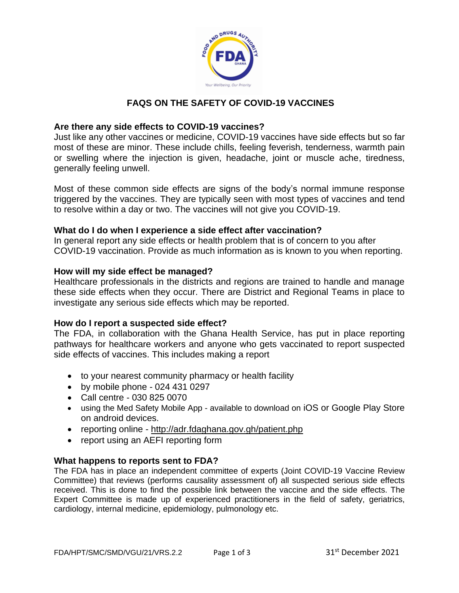

# **FAQS ON THE SAFETY OF COVID-19 VACCINES**

# **Are there any side effects to COVID-19 vaccines?**

Just like any other vaccines or medicine, COVID-19 vaccines have side effects but so far most of these are minor. These include chills, feeling feverish, tenderness, warmth pain or swelling where the injection is given, headache, joint or muscle ache, tiredness, generally feeling unwell.

Most of these common side effects are signs of the body's normal immune response triggered by the vaccines. They are typically seen with most types of vaccines and tend to resolve within a day or two. The vaccines will not give you COVID-19.

# **What do I do when I experience a side effect after vaccination?**

In general report any side effects or health problem that is of concern to you after COVID-19 vaccination. Provide as much information as is known to you when reporting.

### **How will my side effect be managed?**

Healthcare professionals in the districts and regions are trained to handle and manage these side effects when they occur. There are District and Regional Teams in place to investigate any serious side effects which may be reported.

# **How do I report a suspected side effect?**

The FDA, in collaboration with the Ghana Health Service, has put in place reporting pathways for healthcare workers and anyone who gets vaccinated to report suspected side effects of vaccines. This includes making a report

- to your nearest community pharmacy or health facility
- $\bullet$  by mobile phone 024 431 0297
- Call centre 030 825 0070
- using the Med Safety Mobile App available to download on iOS or Google Play Store on android devices.
- reporting online <http://adr.fdaghana.gov.gh/patient.php>
- report using an AEFI reporting form

# **What happens to reports sent to FDA?**

The FDA has in place an independent committee of experts (Joint COVID-19 Vaccine Review Committee) that reviews (performs causality assessment of) all suspected serious side effects received. This is done to find the possible link between the vaccine and the side effects. The Expert Committee is made up of experienced practitioners in the field of safety, geriatrics, cardiology, internal medicine, epidemiology, pulmonology etc.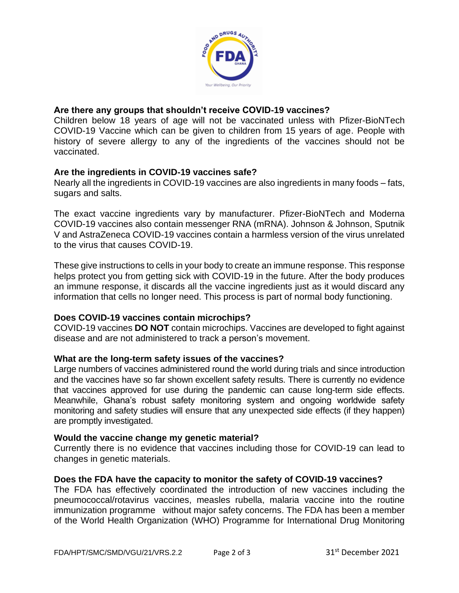

# **Are there any groups that shouldn't receive COVID-19 vaccines?**

Children below 18 years of age will not be vaccinated unless with Pfizer-BioNTech COVID-19 Vaccine which can be given to children from 15 years of age. People with history of severe allergy to any of the ingredients of the vaccines should not be vaccinated.

### **Are the ingredients in COVID-19 vaccines safe?**

Nearly all the ingredients in COVID-19 vaccines are also ingredients in many foods – fats, sugars and salts.

The exact vaccine ingredients vary by manufacturer. Pfizer-BioNTech and Moderna COVID-19 vaccines also contain messenger RNA (mRNA). Johnson & Johnson, Sputnik V and AstraZeneca COVID-19 vaccines contain a harmless version of the virus unrelated to the virus that causes COVID-19.

These give instructions to cells in your body to create an immune response. This response helps protect you from getting sick with COVID-19 in the future. After the body produces an immune response, it discards all the vaccine ingredients just as it would discard any information that cells no longer need. This process is part of normal body functioning.

# **Does COVID-19 vaccines contain microchips?**

COVID-19 vaccines **DO NOT** contain microchips. Vaccines are developed to fight against disease and are not administered to track a person's movement.

### **What are the long-term safety issues of the vaccines?**

Large numbers of vaccines administered round the world during trials and since introduction and the vaccines have so far shown excellent safety results. There is currently no evidence that vaccines approved for use during the pandemic can cause long-term side effects. Meanwhile, Ghana's robust safety monitoring system and ongoing worldwide safety monitoring and safety studies will ensure that any unexpected side effects (if they happen) are promptly investigated.

### **Would the vaccine change my genetic material?**

Currently there is no evidence that vaccines including those for COVID-19 can lead to changes in genetic materials.

### **Does the FDA have the capacity to monitor the safety of COVID-19 vaccines?**

The FDA has effectively coordinated the introduction of new vaccines including the pneumococcal/rotavirus vaccines, measles rubella, malaria vaccine into the routine immunization programme without major safety concerns. The FDA has been a member of the World Health Organization (WHO) Programme for International Drug Monitoring